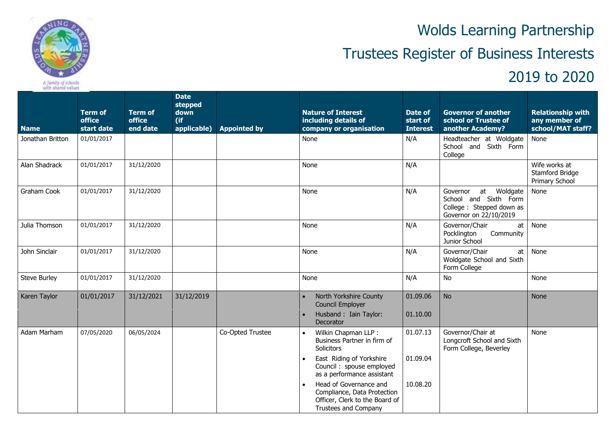

Wolds Learning Partnership

## Trustees Register of Business Interests

## 2019 to 2020

| <b>Name</b>         | <b>Term of</b><br>office<br>start date | <b>Term of</b><br>office<br>end date | <b>Date</b><br>stepped<br>down<br>$($ if<br>applicable) | <b>Appointed by</b> | <b>Nature of Interest</b><br>including details of<br>company or organisation                                                                                                                                                                                                                  | Date of<br>start of<br><b>Interest</b> | <b>Governor of another</b><br>school or Trustee of<br>another Academy?                                 | <b>Relationship with</b><br>any member of<br>school/MAT staff? |
|---------------------|----------------------------------------|--------------------------------------|---------------------------------------------------------|---------------------|-----------------------------------------------------------------------------------------------------------------------------------------------------------------------------------------------------------------------------------------------------------------------------------------------|----------------------------------------|--------------------------------------------------------------------------------------------------------|----------------------------------------------------------------|
| Jonathan Britton    | 01/01/2017                             |                                      |                                                         |                     | None                                                                                                                                                                                                                                                                                          | N/A                                    | Headteacher at Woldgate<br>School and Sixth Form<br>College                                            | None                                                           |
| Alan Shadrack       | 01/01/2017                             | 31/12/2020                           |                                                         |                     | None                                                                                                                                                                                                                                                                                          | N/A                                    |                                                                                                        | Wife works at<br>Stamford Bridge<br>Primary School             |
| Graham Cook         | 01/01/2017                             | 31/12/2020                           |                                                         |                     | None                                                                                                                                                                                                                                                                                          | N/A                                    | at Woldgate<br>Governor<br>School and Sixth Form<br>College: Stepped down as<br>Governor on 22/10/2019 | None                                                           |
| Julia Thomson       | 01/01/2017                             | 31/12/2020                           |                                                         |                     | None                                                                                                                                                                                                                                                                                          | N/A                                    | Governor/Chair<br>at<br>Community<br>Pocklington<br>Junior School                                      | None                                                           |
| John Sinclair       | 01/01/2017                             | 31/12/2020                           |                                                         |                     | None                                                                                                                                                                                                                                                                                          | N/A                                    | Governor/Chair<br>at<br>Woldgate School and Sixth<br>Form College                                      | None                                                           |
| <b>Steve Burley</b> | 01/01/2017                             | 31/12/2020                           |                                                         |                     | None                                                                                                                                                                                                                                                                                          | N/A                                    | No                                                                                                     | None                                                           |
| Karen Taylor        | 01/01/2017                             | 31/12/2021                           | 31/12/2019                                              |                     | North Yorkshire County<br><b>Council Employer</b><br>Husband: Iain Taylor:<br>Decorator                                                                                                                                                                                                       | 01.09.06<br>01.10.00                   | <b>No</b>                                                                                              | <b>None</b>                                                    |
| Adam Marham         | 07/05/2020                             | 06/05/2024                           |                                                         | Co-Opted Trustee    | Wilkin Chapman LLP:<br>$\bullet$<br>Business Partner in firm of<br>Solicitors<br>East Riding of Yorkshire<br>Council: spouse employed<br>as a performance assistant<br>Head of Governance and<br>Compliance, Data Protection<br>Officer, Clerk to the Board of<br><b>Trustees and Company</b> | 01.07.13<br>01.09.04<br>10.08.20       | Governor/Chair at<br>Longcroft School and Sixth<br>Form College, Beverley                              | None                                                           |